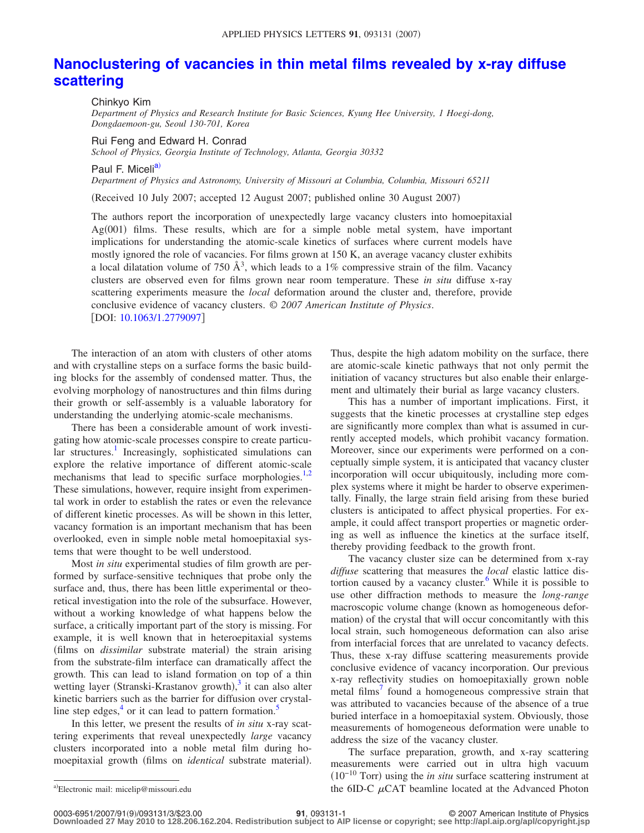## **[Nanoclustering of vacancies in thin metal films revealed by x-ray diffuse](http://dx.doi.org/10.1063/1.2779097) [scattering](http://dx.doi.org/10.1063/1.2779097)**

Chinkyo Kim

*Department of Physics and Research Institute for Basic Sciences, Kyung Hee University, 1 Hoegi-dong, Dongdaemoon-gu, Seoul 130-701, Korea*

Rui Feng and Edward H. Conrad

*School of Physics, Georgia Institute of Technology, Atlanta, Georgia 30332*

Paul F. Miceli<sup>a)</sup>

*Department of Physics and Astronomy, University of Missouri at Columbia, Columbia, Missouri 65211*

Received 10 July 2007; accepted 12 August 2007; published online 30 August 2007-

The authors report the incorporation of unexpectedly large vacancy clusters into homoepitaxial Ag(001) films. These results, which are for a simple noble metal system, have important implications for understanding the atomic-scale kinetics of surfaces where current models have mostly ignored the role of vacancies. For films grown at 150 K, an average vacancy cluster exhibits a local dilatation volume of 750  $\AA^3$ , which leads to a 1% compressive strain of the film. Vacancy clusters are observed even for films grown near room temperature. These *in situ* diffuse x-ray scattering experiments measure the *local* deformation around the cluster and, therefore, provide conclusive evidence of vacancy clusters. © *2007 American Institute of Physics*. [DOI: [10.1063/1.2779097](http://dx.doi.org/10.1063/1.2779097)]

The interaction of an atom with clusters of other atoms and with crystalline steps on a surface forms the basic building blocks for the assembly of condensed matter. Thus, the evolving morphology of nanostructures and thin films during their growth or self-assembly is a valuable laboratory for understanding the underlying atomic-scale mechanisms.

There has been a considerable amount of work investigating how atomic-scale processes conspire to create particular structures.<sup>1</sup> Increasingly, sophisticated simulations can explore the relative importance of different atomic-scale mechanisms that lead to specific surface morphologies. $1,2$  $1,2$ These simulations, however, require insight from experimental work in order to establish the rates or even the relevance of different kinetic processes. As will be shown in this letter, vacancy formation is an important mechanism that has been overlooked, even in simple noble metal homoepitaxial systems that were thought to be well understood.

Most *in situ* experimental studies of film growth are performed by surface-sensitive techniques that probe only the surface and, thus, there has been little experimental or theoretical investigation into the role of the subsurface. However, without a working knowledge of what happens below the surface, a critically important part of the story is missing. For example, it is well known that in heteroepitaxial systems (films on *dissimilar* substrate material) the strain arising from the substrate-film interface can dramatically affect the growth. This can lead to island formation on top of a thin wetting layer (Stranski-Krastanov growth), $3$  it can also alter kinetic barriers such as the barrier for diffusion over crystalline step edges, $<sup>4</sup>$  or it can lead to pattern formation.<sup>5</sup></sup>

In this letter, we present the results of *in situ* x-ray scattering experiments that reveal unexpectedly *large* vacancy clusters incorporated into a noble metal film during homoepitaxial growth (films on *identical* substrate material).

Thus, despite the high adatom mobility on the surface, there are atomic-scale kinetic pathways that not only permit the initiation of vacancy structures but also enable their enlargement and ultimately their burial as large vacancy clusters.

This has a number of important implications. First, it suggests that the kinetic processes at crystalline step edges are significantly more complex than what is assumed in currently accepted models, which prohibit vacancy formation. Moreover, since our experiments were performed on a conceptually simple system, it is anticipated that vacancy cluster incorporation will occur ubiquitously, including more complex systems where it might be harder to observe experimentally. Finally, the large strain field arising from these buried clusters is anticipated to affect physical properties. For example, it could affect transport properties or magnetic ordering as well as influence the kinetics at the surface itself, thereby providing feedback to the growth front.

The vacancy cluster size can be determined from x-ray *diffuse* scattering that measures the *local* elastic lattice distortion caused by a vacancy cluster. $6$  While it is possible to use other diffraction methods to measure the *long-range* macroscopic volume change (known as homogeneous deformation) of the crystal that will occur concomitantly with this local strain, such homogeneous deformation can also arise from interfacial forces that are unrelated to vacancy defects. Thus, these x-ray diffuse scattering measurements provide conclusive evidence of vacancy incorporation. Our previous x-ray reflectivity studies on homoepitaxially grown noble metal films<sup>7</sup> found a homogeneous compressive strain that was attributed to vacancies because of the absence of a true buried interface in a homoepitaxial system. Obviously, those measurements of homogeneous deformation were unable to address the size of the vacancy cluster.

The surface preparation, growth, and x-ray scattering measurements were carried out in ultra high vacuum (10<sup>-10</sup> Torr) using the *in situ* surface scattering instrument at the 6ID-C  $\mu$ CAT beamline located at the Advanced Photon

<span id="page-0-0"></span>Electronic mail: micelip@missouri.edu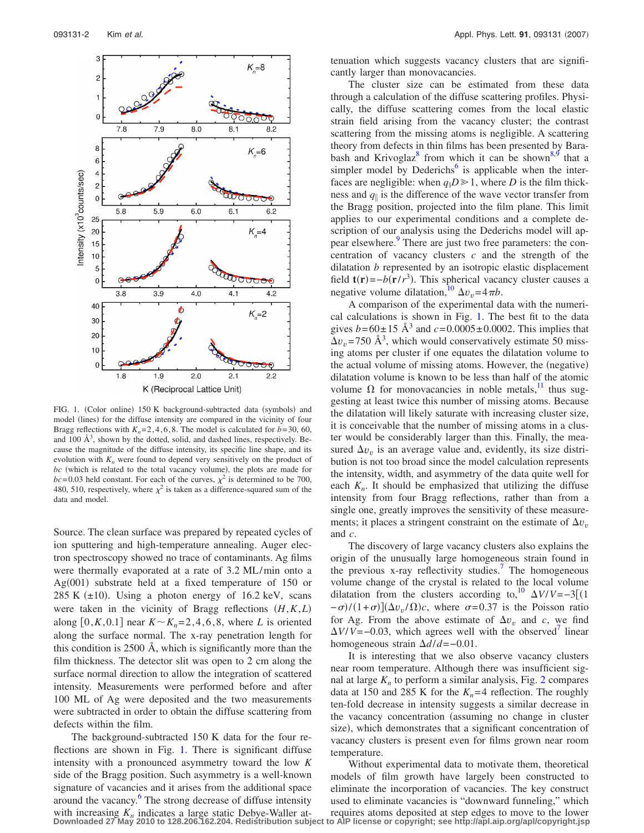<span id="page-1-0"></span>

FIG. 1. (Color online) 150 K background-subtracted data (symbols) and model (lines) for the diffuse intensity are compared in the vicinity of four Bragg reflections with  $K_n = 2, 4, 6, 8$ . The model is calculated for  $b = 30, 60$ , and 100  $\AA^3$ , shown by the dotted, solid, and dashed lines, respectively. Because the magnitude of the diffuse intensity, its specific line shape, and its evolution with  $K_n$  were found to depend very sensitively on the product of  $bc$  (which is related to the total vacancy volume), the plots are made for  $bc = 0.03$  held constant. For each of the curves,  $\chi^2$  is determined to be 700, 480, 510, respectively, where  $\chi^2$  is taken as a difference-squared sum of the data and model.

Source. The clean surface was prepared by repeated cycles of ion sputtering and high-temperature annealing. Auger electron spectroscopy showed no trace of contaminants. Ag films were thermally evaporated at a rate of 3.2 ML/min onto a Ag(001) substrate held at a fixed temperature of 150 or 285 K  $(\pm 10)$ . Using a photon energy of 16.2 keV, scans were taken in the vicinity of Bragg reflections *H*,*K*,*L* along  $[0, K, 0.1]$  near  $K \sim K_n = 2, 4, 6, 8$ , where *L* is oriented along the surface normal. The x-ray penetration length for this condition is 2500 Å, which is significantly more than the film thickness. The detector slit was open to 2 cm along the surface normal direction to allow the integration of scattered intensity. Measurements were performed before and after 100 ML of Ag were deposited and the two measurements were subtracted in order to obtain the diffuse scattering from defects within the film.

The background-subtracted 150 K data for the four reflections are shown in Fig. [1.](#page-1-0) There is significant diffuse intensity with a pronounced asymmetry toward the low *K* side of the Bragg position. Such asymmetry is a well-known signature of vacancies and it arises from the additional space around the vacancy.<sup>6</sup> The strong decrease of diffuse intensity with increasing  $K_n$  indicates a large static Debye-Waller at-<br>Downloaded 27 May 2010 to 128.206.162.204. Redistribution subject to AlP license or copyright; see http://apl.aip.org/apl/copyright.jsp

tenuation which suggests vacancy clusters that are significantly larger than monovacancies.

The cluster size can be estimated from these data through a calculation of the diffuse scattering profiles. Physically, the diffuse scattering comes from the local elastic strain field arising from the vacancy cluster; the contrast scattering from the missing atoms is negligible. A scattering theory from defects in thin films has been presented by Bara-bash and Krivoglaz<sup>8</sup> from which it can be shown<sup>8,[9](#page-2-8)</sup> that a simpler model by Dederichs<sup> $6$ </sup> is applicable when the interfaces are negligible: when  $q_{\parallel}D \ge 1$ , where *D* is the film thickness and  $q_{\parallel}$  is the difference of the wave vector transfer from the Bragg position, projected into the film plane. This limit applies to our experimental conditions and a complete description of our analysis using the Dederichs model will appear elsewhere.<sup>9</sup> There are just two free parameters: the concentration of vacancy clusters *c* and the strength of the dilatation *b* represented by an isotropic elastic displacement field  $\mathbf{t}(\mathbf{r}) = -b(\mathbf{r}/r^3)$ . This spherical vacancy cluster causes a negative volume dilatation,<sup>10</sup>  $\Delta v_v = 4 \pi b$ .

A comparison of the experimental data with the numerical calculations is shown in Fig. [1.](#page-1-0) The best fit to the data gives  $b = 60 \pm 15 \text{ Å}^3$  and  $c = 0.0005 \pm 0.0002$ . This implies that  $\Delta v_v$  = 750 Å<sup>3</sup>, which would conservatively estimate 50 missing atoms per cluster if one equates the dilatation volume to the actual volume of missing atoms. However, the (negative) dilatation volume is known to be less than half of the atomic volume  $\Omega$  for monovacancies in noble metals,<sup>11</sup> thus suggesting at least twice this number of missing atoms. Because the dilatation will likely saturate with increasing cluster size, it is conceivable that the number of missing atoms in a cluster would be considerably larger than this. Finally, the measured  $\Delta v_v$  is an average value and, evidently, its size distribution is not too broad since the model calculation represents the intensity, width, and asymmetry of the data quite well for each  $K_n$ . It should be emphasized that utilizing the diffuse intensity from four Bragg reflections, rather than from a single one, greatly improves the sensitivity of these measurements; it places a stringent constraint on the estimate of  $\Delta v$ <sub>n</sub> and *c*.

The discovery of large vacancy clusters also explains the origin of the unusually large homogeneous strain found in the previous x-ray reflectivity studies.<sup>7</sup> The homogeneous volume change of the crystal is related to the local volume dilatation from the clusters according to,<sup>10</sup>  $\Delta V/V = -3[(1$  $-\sigma$ /(1+ $\sigma$ )]( $\Delta v_v/\Omega$ )*c*, where  $\sigma$ =0.37 is the Poisson ratio for Ag. From the above estimate of  $\Delta v$  and *c*, we find  $\Delta V/V = -0.03$ , which agrees well with the observed<sup>7</sup> linear homogeneous strain *d*/*d*=−0.01.

It is interesting that we also observe vacancy clusters near room temperature. Although there was insufficient signal at large  $K_n$  to perform a similar analysis, Fig. [2](#page-2-11) compares data at 150 and 285 K for the  $K_n=4$  reflection. The roughly ten-fold decrease in intensity suggests a similar decrease in the vacancy concentration (assuming no change in cluster size), which demonstrates that a significant concentration of vacancy clusters is present even for films grown near room temperature.

Without experimental data to motivate them, theoretical models of film growth have largely been constructed to eliminate the incorporation of vacancies. The key construct used to eliminate vacancies is "downward funneling," which